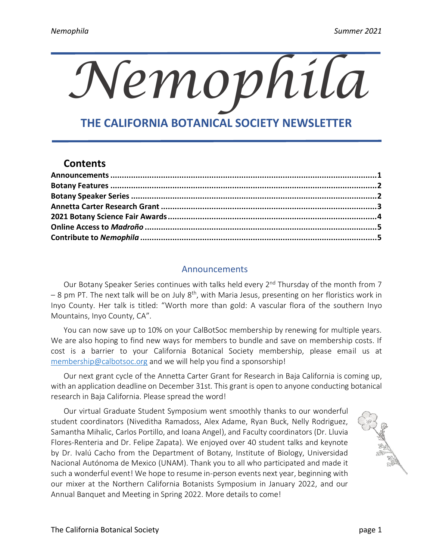# *Nemophila*

# **THE CALIFORNIA BOTANICAL SOCIETY NEWSLETTER**

# **Contents**

l,

# Announcements

<span id="page-0-0"></span>Our Botany Speaker Series continues with talks held every 2<sup>nd</sup> Thursday of the month from 7 – 8 pm PT. The next talk will be on July 8<sup>th</sup>, with Maria Jesus, presenting on her floristics work in Inyo County. Her talk is titled: "Worth more than gold: A vascular flora of the southern Inyo Mountains, Inyo County, CA".

You can now save up to 10% on your CalBotSoc membership by renewing for multiple years. We are also hoping to find new ways for members to bundle and save on membership costs. If cost is a barrier to your California Botanical Society membership, please email us at [membership@calbotsoc.org](mailto:membership@calbotsoc.org) and we will help you find a sponsorship!

Our next grant cycle of the Annetta Carter Grant for Research in Baja California is coming up, with an application deadline on December 31st. This grant is open to anyone conducting botanical research in Baja California. Please spread the word!

Our virtual Graduate Student Symposium went smoothly thanks to our wonderful student coordinators (Niveditha Ramadoss, Alex Adame, Ryan Buck, Nelly Rodriguez, Samantha Mihalic, Carlos Portillo, and Ioana Angel), and Faculty coordinators (Dr. Lluvia Flores-Renteria and Dr. Felipe Zapata). We enjoyed over 40 student talks and keynote by Dr. Ivalú Cacho from the Department of Botany, Institute of Biology, Universidad Nacional Autónoma de Mexico (UNAM). Thank you to all who participated and made it such a wonderful event! We hope to resume in-person events next year, beginning with our mixer at the Northern California Botanists Symposium in January 2022, and our Annual Banquet and Meeting in Spring 2022. More details to come!

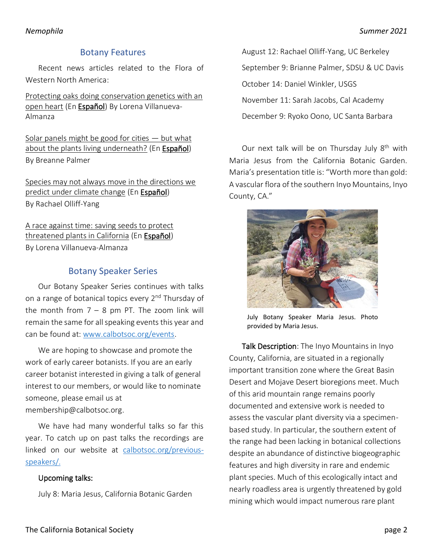## Botany Features

<span id="page-1-0"></span>Recent news articles related to the Flora of Western North America:

[Protecting oaks doing conservation genetics with an](https://www.botany.one/2021/05/protecting-oaks-doing-conservation-genetics-with-an-open-heart/)  [open heart](https://www.botany.one/2021/05/protecting-oaks-doing-conservation-genetics-with-an-open-heart/) (E[n Español\)](https://www.botany.one/es/2021/05/protegiendo-encinos-haciendo-genetica-de-conservacion-con-el-corazon-abierto/) By Lorena Villanueva-Almanza

[Solar panels might be good for cities](https://www.botany.one/2021/06/solar-panels-might-be-good-for-cities-but-what-about-the-plants-living-underneath/)  $-$  but what [about the plants living underneath?](https://www.botany.one/2021/06/solar-panels-might-be-good-for-cities-but-what-about-the-plants-living-underneath/) (En [Español\)](https://www.botany.one/es/2021/06/los-paneles-solares-pueden-ser-buenos-para-las-ciudades-pero-que-pasa-con-las-plantas-que-viven-debajo/) By Breanne Palmer

[Species may not always move in the directions we](https://www.botany.one/2021/05/species-may-not-always-move-in-the-directions-we-predict-under-climate-change/)  [predict under climate change](https://www.botany.one/2021/05/species-may-not-always-move-in-the-directions-we-predict-under-climate-change/) (E[n Español\)](https://www.botany.one/es/2021/05/bajo-cambio-climatico-las-especies-no-siempre-se-mueven-en-las-direcciones-predichas/) By Rachael Olliff-Yang

[A race against time: saving seeds to protect](https://www.botany.one/2021/04/a-race-against-time-saving-seeds-to-protect-threatened-plants-in-california/?fbclid=IwAR0hkeHsZGWHChOwM9L-VdaPwZ3p0u36Yqw9EaRF-OPQUZpEHNalWpyNHME)  [threatened plants in California](https://www.botany.one/2021/04/a-race-against-time-saving-seeds-to-protect-threatened-plants-in-california/?fbclid=IwAR0hkeHsZGWHChOwM9L-VdaPwZ3p0u36Yqw9EaRF-OPQUZpEHNalWpyNHME) (E[n Español\)](https://www.botany.one/es/2021/04/una-carrera-contra-el-tiempo-resguardando-semillas-para-proteger-plantas-amenazadas-en-california/) By Lorena Villanueva-Almanza

# Botany Speaker Series

<span id="page-1-1"></span>Our Botany Speaker Series continues with talks on a range of botanical topics every 2<sup>nd</sup> Thursday of the month from  $7 - 8$  pm PT. The zoom link will remain the same for all speaking events this year and can be found at: [www.calbotsoc.org/events.](https://calbotsoc.org/events/)

We are hoping to showcase and promote the work of early career botanists. If you are an early career botanist interested in giving a talk of general interest to our members, or would like to nominate someone, please email us at [membership@calbotsoc.org.](mailto:membership@calbotsoc.org)

We have had many wonderful talks so far this year. To catch up on past talks the recordings are linked on our website at [calbotsoc.org/previous](https://calbotsoc.org/previous-speakers/)[speakers/.](https://calbotsoc.org/previous-speakers/)

### Upcoming talks:

July 8: Maria Jesus, California Botanic Garden

August 12: Rachael Olliff-Yang, UC Berkeley September 9: Brianne Palmer, SDSU & UC Davis October 14: Daniel Winkler, USGS November 11: Sarah Jacobs, Cal Academy December 9: Ryoko Oono, UC Santa Barbara

Our next talk will be on Thursday July 8<sup>th</sup> with Maria Jesus from the California Botanic Garden. Maria's presentation title is: "Worth more than gold: A vascular flora of the southern Inyo Mountains, Inyo County, CA."



July Botany Speaker Maria Jesus. Photo provided by Maria Jesus.

Talk Description: The Inyo Mountains in Inyo County, California, are situated in a regionally important transition zone where the Great Basin Desert and Mojave Desert bioregions meet. Much of this arid mountain range remains poorly documented and extensive work is needed to assess the vascular plant diversity via a specimenbased study. In particular, the southern extent of the range had been lacking in botanical collections despite an abundance of distinctive biogeographic features and high diversity in rare and endemic plant species. Much of this ecologically intact and nearly roadless area is urgently threatened by gold mining which would impact numerous rare plant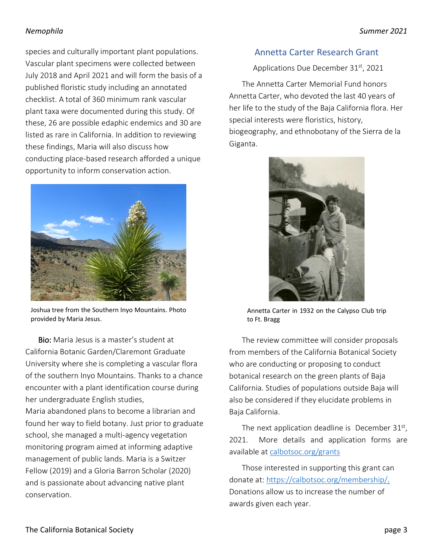species and culturally important plant populations. Vascular plant specimens were collected between July 2018 and April 2021 and will form the basis of a published floristic study including an annotated checklist. A total of 360 minimum rank vascular plant taxa were documented during this study. Of these, 26 are possible edaphic endemics and 30 are listed as rare in California. In addition to reviewing these findings, Maria will also discuss how conducting place-based research afforded a unique opportunity to inform conservation action.



Joshua tree from the Southern Inyo Mountains. Photo provided by Maria Jesus.

Bio: Maria Jesus is a master's student at California Botanic Garden/Claremont Graduate University where she is completing a vascular flora of the southern Inyo Mountains. Thanks to a chance encounter with a plant identification course during her undergraduate English studies,

Maria abandoned plans to become a librarian and found her way to field botany. Just prior to graduate school, she managed a multi-agency vegetation monitoring program aimed at informing adaptive management of public lands. Maria is a Switzer Fellow (2019) and a Gloria Barron Scholar (2020) and is passionate about advancing native plant conservation.

# <span id="page-2-0"></span>Annetta Carter Research Grant

Applications Due December 31<sup>st</sup>, 2021

The Annetta Carter Memorial Fund honors Annetta Carter, who devoted the last 40 years of her life to the study of the Baja California flora. Her special interests were floristics, history, biogeography, and ethnobotany of the Sierra de la Giganta.



Annetta Carter in 1932 on the Calypso Club trip to Ft. Bragg

The review committee will consider proposals from members of the California Botanical Society who are conducting or proposing to conduct botanical research on the green plants of Baja California. Studies of populations outside Baja will also be considered if they elucidate problems in Baja California.

The next application deadline is December  $31<sup>st</sup>$ , 2021. More details and application forms are available at [calbotsoc.org/grants](https://calbotsoc.org/grants/)

Those interested in supporting this grant can donate at[: https://calbotsoc.org/membership/.](https://calbotsoc.org/membership/#donate) Donations allow us to increase the number of awards given each year.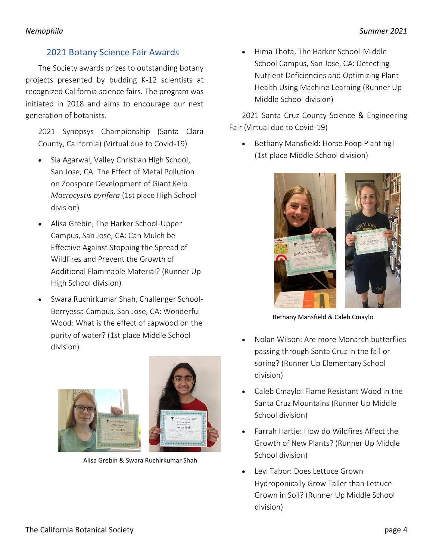# 2021 Botany Science Fair Awards

<span id="page-3-0"></span>The Society awards prizes to outstanding botany projects presented by budding K-12 scientists at recognized California science fairs. The program was initiated in 2018 and aims to encourage our next generation of botanists.

2021 Synopsys Championship (Santa Clara County, California) (Virtual due to Covid-19)

- Sia Agarwal, Valley Christian High School, San Jose, CA: The Effect of Metal Pollution on Zoospore Development of Giant Kelp *Macrocystis pyrifera* (1st place High School division)
- Alisa Grebin, The Harker School-Upper Campus, San Jose, CA: Can Mulch be Effective Against Stopping the Spread of Wildfires and Prevent the Growth of Additional Flammable Material? (Runner Up High School division)
- Swara Ruchirkumar Shah, Challenger School-Berryessa Campus, San Jose, CA: Wonderful Wood: What is the effect of sapwood on the purity of water? (1st place Middle School division)



Alisa Grebin & Swara Ruchirkumar Shah

• Hima Thota, The Harker School-Middle School Campus, San Jose, CA: Detecting Nutrient Deficiencies and Optimizing Plant Health Using Machine Learning (Runner Up Middle School division)

2021 Santa Cruz County Science & Engineering Fair (Virtual due to Covid-19)

• Bethany Mansfield: Horse Poop Planting! (1st place Middle School division)



Bethany Mansfield & Caleb Cmaylo

- Nolan Wilson: Are more Monarch butterflies passing through Santa Cruz in the fall or spring? (Runner Up Elementary School division)
- Caleb Cmaylo: Flame Resistant Wood in the Santa Cruz Mountains (Runner Up Middle School division)
- Farrah Hartje: How do Wildfires Affect the Growth of New Plants? (Runner Up Middle School division)
- Levi Tabor: Does Lettuce Grown Hydroponically Grow Taller than Lettuce Grown in Soil? (Runner Up Middle School division)